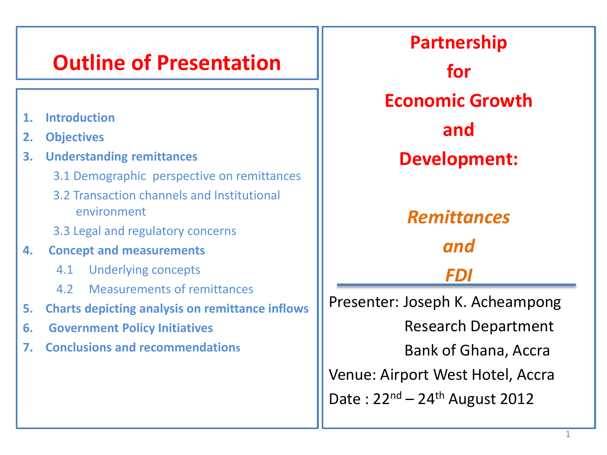#### **Outline of Presentation**

- **1. Introduction**
- **2. Objectives**
- **3. Understanding remittances**
	- 3.1 Demographic perspective on remittances
	- 3.2 Transaction channels and Institutional environment
	- 3.3 Legal and regulatory concerns
- **4. Concept and measurements**
	- 4.1 Underlying concepts
	- 4.2 Measurements of remittances
- **5. Charts depicting analysis on remittance inflows**
- **6. Government Policy Initiatives**
- **7. Conclusions and recommendations**

**Partnership for Economic Growth and Development:** *Remittances and FDI* Presenter: Joseph K. Acheampong Research Department Bank of Ghana, Accra Venue: Airport West Hotel, Accra Date:  $22^{nd} - 24^{th}$  August 2012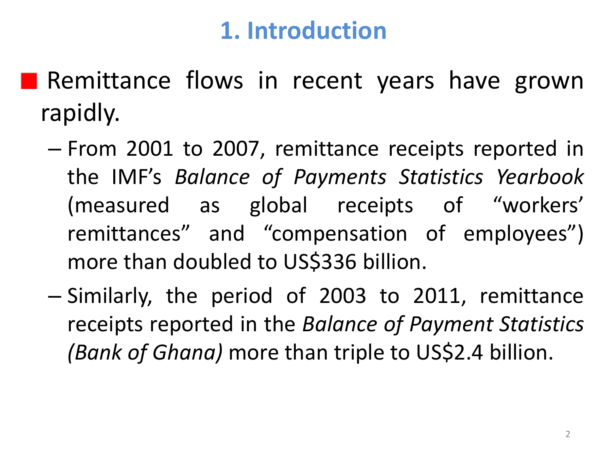# **1. Introduction**

**Remittance flows in recent years have grown** rapidly.

- From 2001 to 2007, remittance receipts reported in the IMF's *Balance of Payments Statistics Yearbook* (measured as global receipts of "workers' remittances" and "compensation of employees") more than doubled to US\$336 billion.
- Similarly, the period of 2003 to 2011, remittance receipts reported in the *Balance of Payment Statistics (Bank of Ghana)* more than triple to US\$2.4 billion.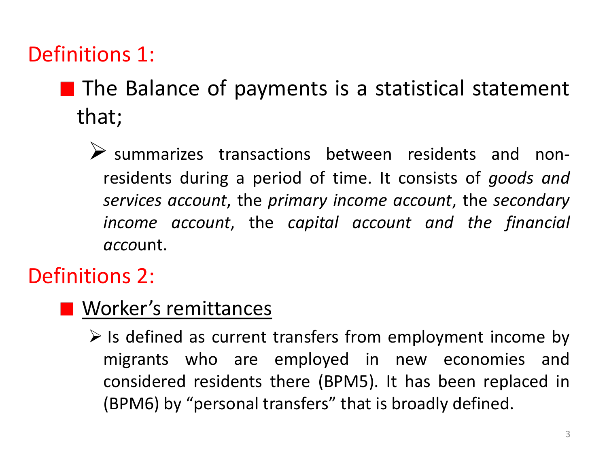#### Definitions 1:

- $\blacksquare$  The Balance of payments is a statistical statement that;
	- $\triangleright$  summarizes transactions between residents and nonresidents during a period of time. It consists of *goods and services account*, the *primary income account*, the *secondary income account*, the *capital account and the financial acco*unt.

#### Definitions 2:

#### **N** Worker's remittances

 $\triangleright$  Is defined as current transfers from employment income by migrants who are employed in new economies and considered residents there (BPM5). It has been replaced in (BPM6) by "personal transfers" that is broadly defined.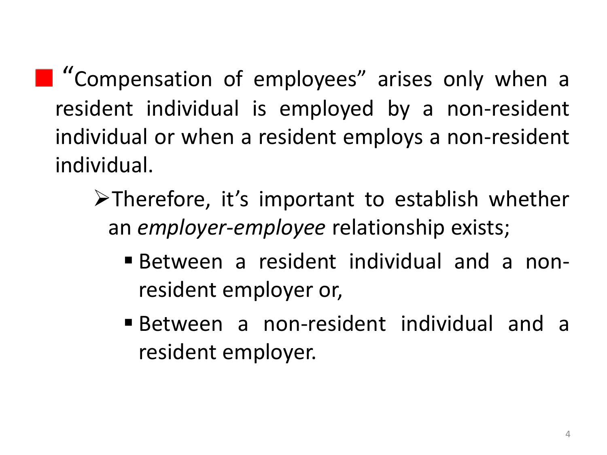**T** "Compensation of employees" arises only when a resident individual is employed by a non-resident individual or when a resident employs a non-resident individual.

- Therefore, it's important to establish whether an *employer-employee* relationship exists;
	- Between a resident individual and a nonresident employer or,
	- Between a non-resident individual and a resident employer.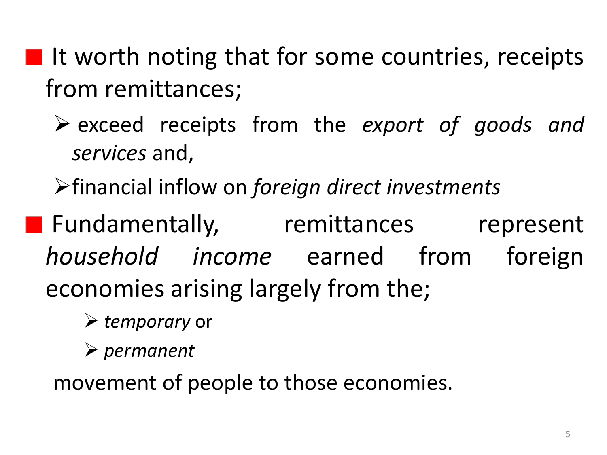- $\blacksquare$  It worth noting that for some countries, receipts from remittances;
	- exceed receipts from the *export of goods and services* and,
	- financial inflow on *foreign direct investments*
- **Fundamentally, remittances represent** *household income* earned from foreign economies arising largely from the;
	- *temporary* or
	- *permanent*

movement of people to those economies.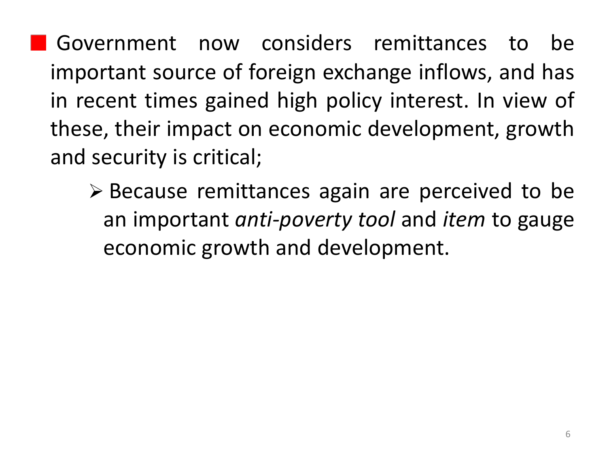Government now considers remittances to be important source of foreign exchange inflows, and has in recent times gained high policy interest. In view of these, their impact on economic development, growth and security is critical;

 Because remittances again are perceived to be an important *anti-poverty tool* and *item* to gauge economic growth and development.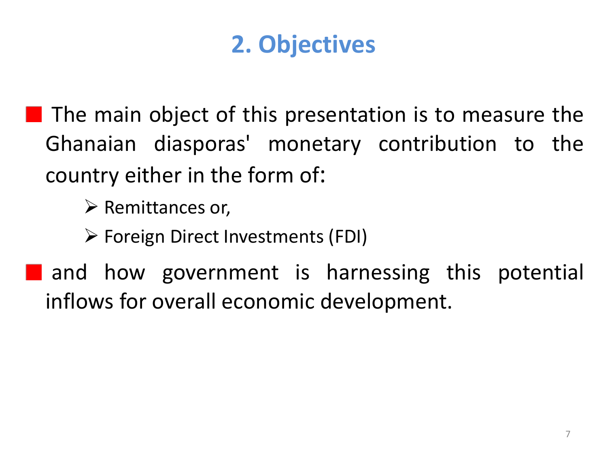# **2. Objectives**

 $\blacksquare$  The main object of this presentation is to measure the Ghanaian diasporas' monetary contribution to the country either in the form of:

 $\triangleright$  Remittances or,

 $\triangleright$  Foreign Direct Investments (FDI)

**and how government is harnessing this potential** inflows for overall economic development.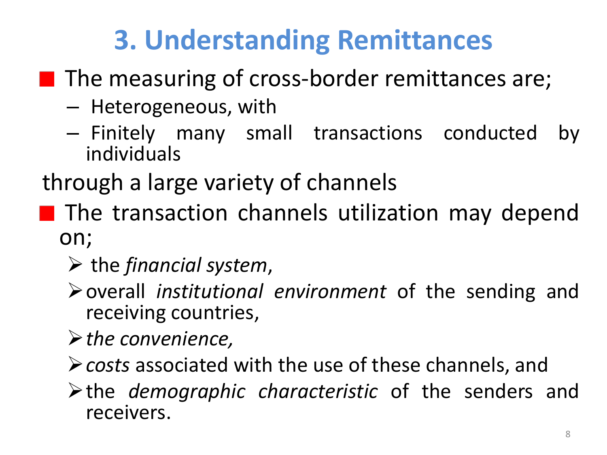# **3. Understanding Remittances**

- $\blacksquare$  The measuring of cross-border remittances are;
	- Heterogeneous, with
	- Finitely many small transactions conducted by individuals

through a large variety of channels

- **The transaction channels utilization may depend** on;
	- the *financial system*,
	- overall *institutional environment* of the sending and receiving countries,
	- *the convenience,*
	- *costs* associated with the use of these channels, and
	- the *demographic characteristic* of the senders and receivers.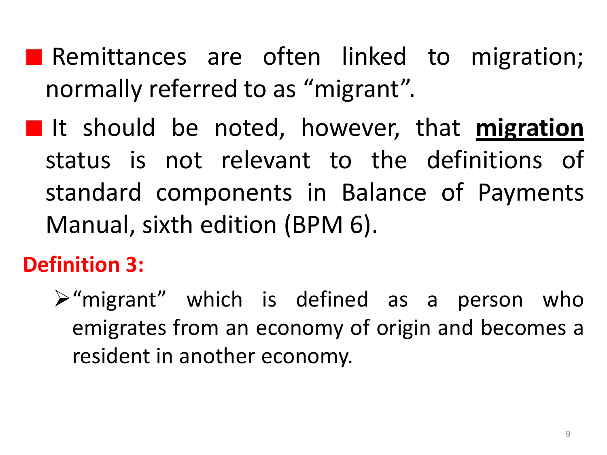- **Remittances are often linked to migration;** normally referred to as "migrant".
- **I** It should be noted, however, that migration status is not relevant to the definitions of standard components in Balance of Payments Manual, sixth edition (BPM 6).

## **Definition 3:**

 $\triangleright$ "migrant" which is defined as a person who emigrates from an economy of origin and becomes a resident in another economy.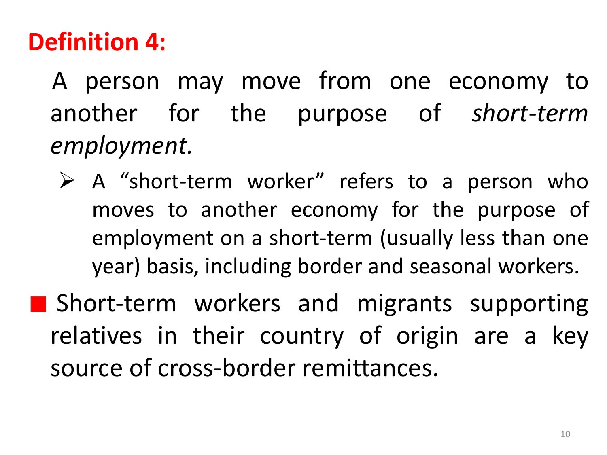# **Definition 4:**

 A person may move from one economy to another for the purpose of *short-term employment.*

 $\triangleright$  A "short-term worker" refers to a person who moves to another economy for the purpose of employment on a short-term (usually less than one year) basis, including border and seasonal workers.

**Short-term workers and migrants supporting** relatives in their country of origin are a key source of cross-border remittances.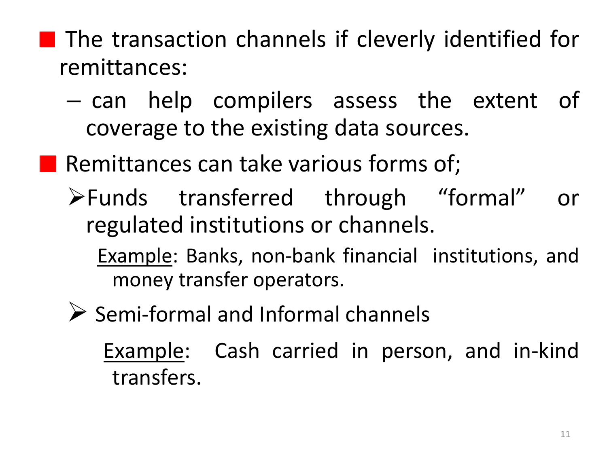**The transaction channels if cleverly identified for** remittances:

- can help compilers assess the extent of coverage to the existing data sources.
- **Remittances can take various forms of;** 
	- Funds transferred through "formal" or regulated institutions or channels.
		- Example: Banks, non-bank financial institutions, and money transfer operators.
	- $\triangleright$  Semi-formal and Informal channels

Example: Cash carried in person, and in-kind transfers.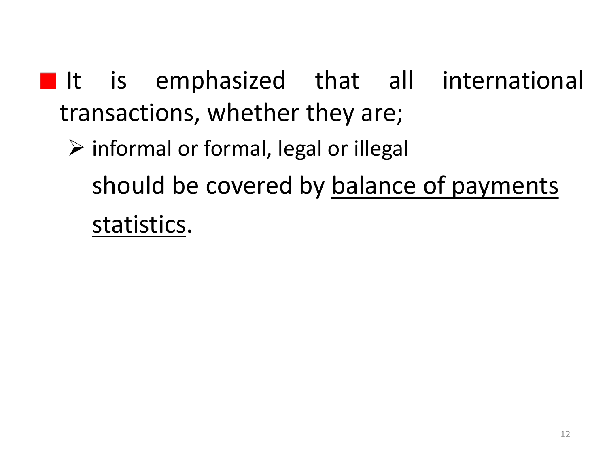- It is emphasized that all international transactions, whether they are;
	- $\triangleright$  informal or formal, legal or illegal should be covered by balance of payments statistics.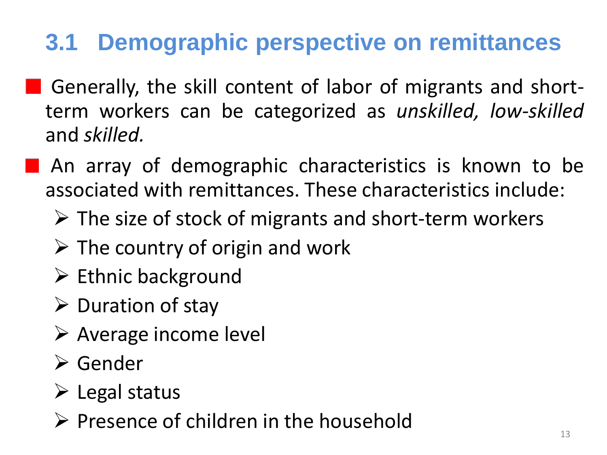# **3.1 Demographic perspective on remittances**

- Generally, the skill content of labor of migrants and shortterm workers can be categorized as *unskilled, low-skilled* and *skilled.*
- **An array of demographic characteristics is known to be** associated with remittances. These characteristics include:
	- $\triangleright$  The size of stock of migrants and short-term workers
	- $\triangleright$  The country of origin and work
	- $\triangleright$  Ethnic background
	- $\triangleright$  Duration of stay
	- Average income level
	- Gender
	- $\triangleright$  Legal status
	- $\triangleright$  Presence of children in the household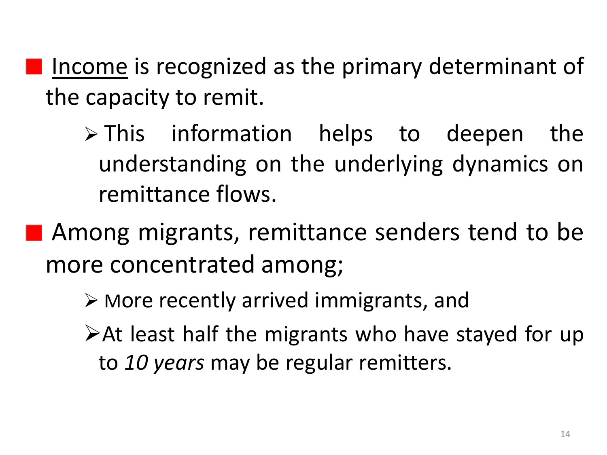Income is recognized as the primary determinant of the capacity to remit.

- $\triangleright$  This information helps to deepen the understanding on the underlying dynamics on remittance flows.
- **Among migrants, remittance senders tend to be** more concentrated among;
	- $\triangleright$  More recently arrived immigrants, and
	- At least half the migrants who have stayed for up to *10 years* may be regular remitters.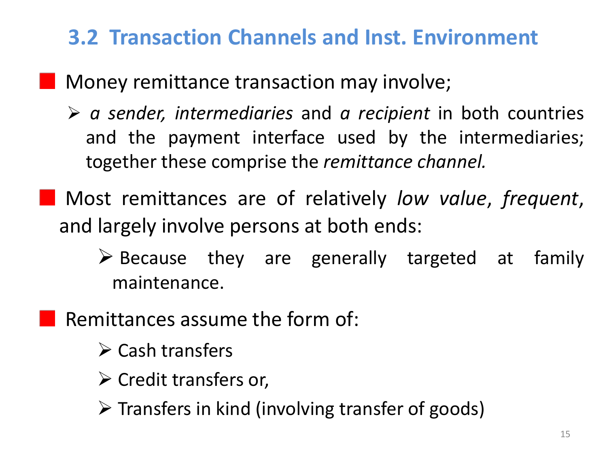## **3.2 Transaction Channels and Inst. Environment**

#### **Money remittance transaction may involve;**

- *a sender, intermediaries* and *a recipient* in both countries and the payment interface used by the intermediaries; together these comprise the *remittance channel.*
- Most remittances are of relatively *low value*, *frequent*, and largely involve persons at both ends:
	- $\triangleright$  Because they are generally targeted at family maintenance.
	- Remittances assume the form of:
		- $\triangleright$  Cash transfers
		- $\triangleright$  Credit transfers or,
		- $\triangleright$  Transfers in kind (involving transfer of goods)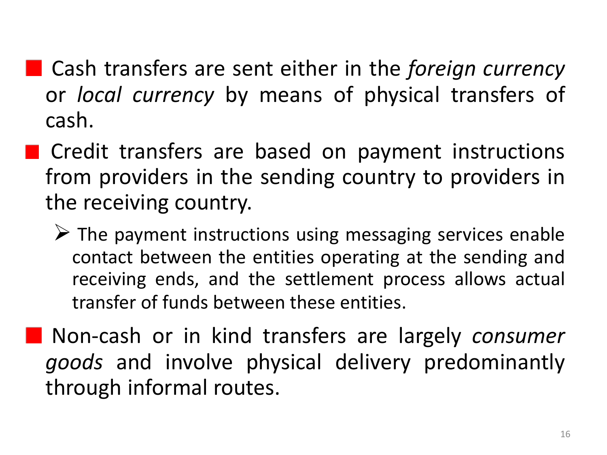- Cash transfers are sent either in the *foreign currency* or *local currency* by means of physical transfers of cash.
- **Credit transfers are based on payment instructions** from providers in the sending country to providers in the receiving country.
	- $\triangleright$  The payment instructions using messaging services enable contact between the entities operating at the sending and receiving ends, and the settlement process allows actual transfer of funds between these entities.
- Non-cash or in kind transfers are largely *consumer goods* and involve physical delivery predominantly through informal routes.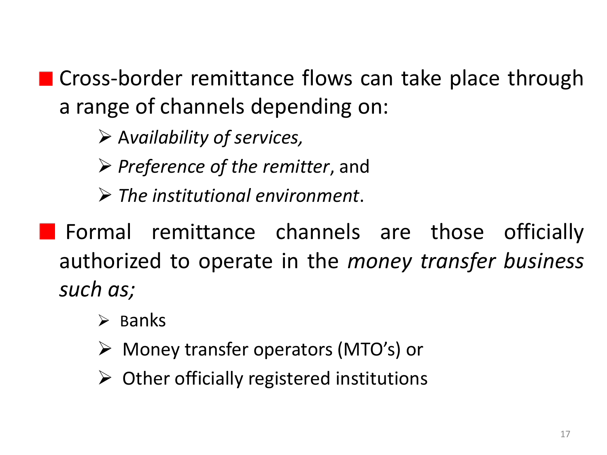■ Cross-border remittance flows can take place through a range of channels depending on:

- A*vailability of services,*
- *Preference of the remitter*, and

*The institutional environment*.

- **Formal remittance channels are those officially** authorized to operate in the *money transfer business such as;*
	- $\triangleright$  Banks
	- Money transfer operators (MTO's) or
	- $\triangleright$  Other officially registered institutions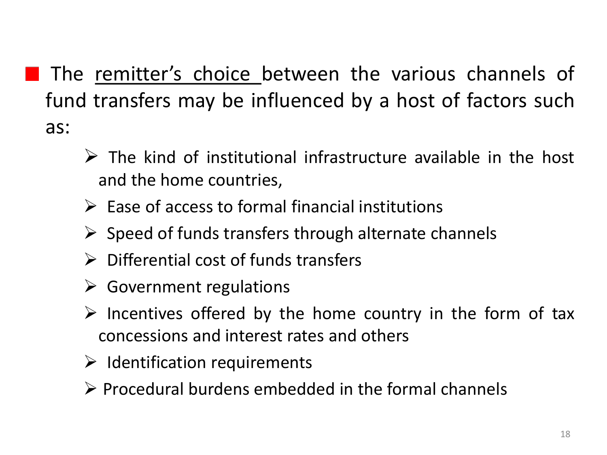- **The remitter's choice between the various channels of** fund transfers may be influenced by a host of factors such as:
	- $\triangleright$  The kind of institutional infrastructure available in the host and the home countries,
	- $\triangleright$  Ease of access to formal financial institutions
	- $\triangleright$  Speed of funds transfers through alternate channels
	- $\triangleright$  Differential cost of funds transfers
	- $\triangleright$  Government regulations
	- $\triangleright$  Incentives offered by the home country in the form of tax concessions and interest rates and others
	- $\triangleright$  Identification requirements
	- $\triangleright$  Procedural burdens embedded in the formal channels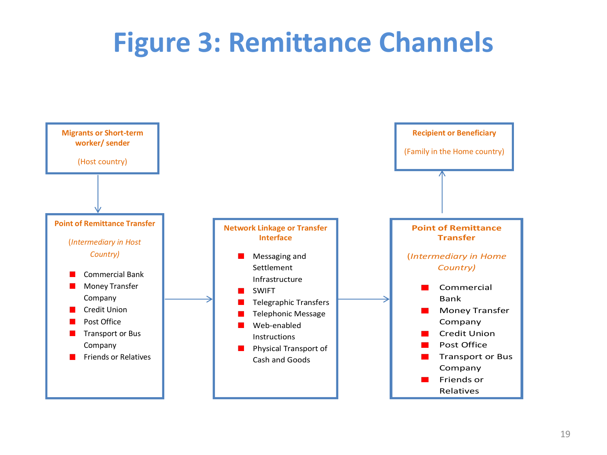# **Figure 3: Remittance Channels**

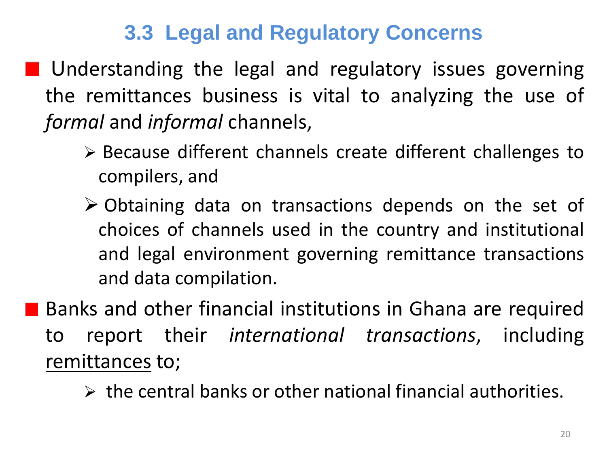### **3.3 Legal and Regulatory Concerns**

**Understanding the legal and regulatory issues governing** the remittances business is vital to analyzing the use of *formal* and *informal* channels,

- Because different channels create different challenges to compilers, and
- Obtaining data on transactions depends on the set of choices of channels used in the country and institutional and legal environment governing remittance transactions and data compilation.

**Banks and other financial institutions in Ghana are required** to report their *international transactions*, including remittances to;

 $\triangleright$  the central banks or other national financial authorities.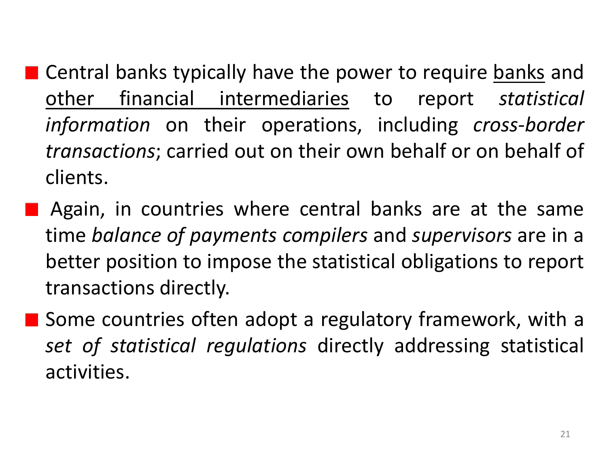- Central banks typically have the power to require banks and other financial intermediaries to report *statistical information* on their operations, including *cross-border transactions*; carried out on their own behalf or on behalf of clients.
	- Again, in countries where central banks are at the same time *balance of payments compilers* and *supervisors* are in a better position to impose the statistical obligations to report transactions directly.
- **Some countries often adopt a regulatory framework, with a** *set of statistical regulations* directly addressing statistical activities.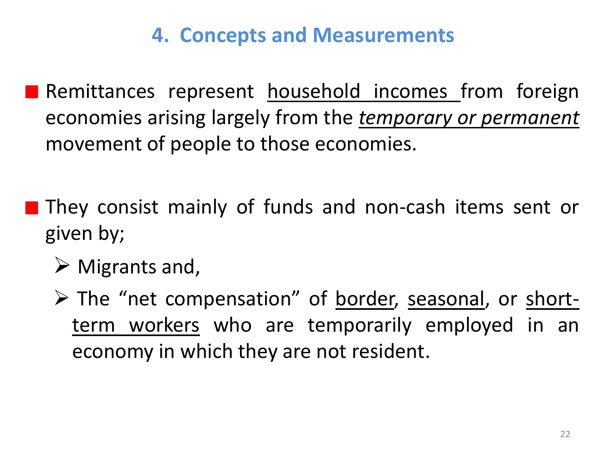### **4. Concepts and Measurements**

- Remittances represent household incomes from foreign economies arising largely from the *temporary or permanent* movement of people to those economies.
- They consist mainly of funds and non-cash items sent or given by;
	- $\triangleright$  Migrants and,
	- The "net compensation" of border, seasonal, or shortterm workers who are temporarily employed in an economy in which they are not resident.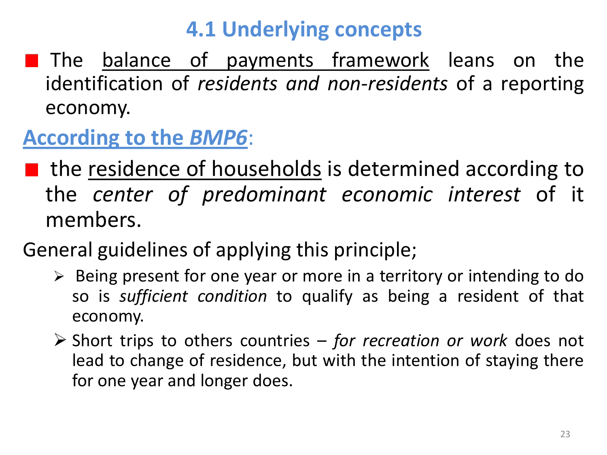## **4.1 Underlying concepts**

**The balance of payments framework leans on the** identification of *residents and non-residents* of a reporting economy.

## **According to the** *BMP6*:

- **If** the residence of households is determined according to the *center of predominant economic interest* of it members.
- General guidelines of applying this principle;
	- $\triangleright$  Being present for one year or more in a territory or intending to do so is *sufficient condition* to qualify as being a resident of that economy.
	- Short trips to others countries *for recreation or work* does not lead to change of residence, but with the intention of staying there for one year and longer does.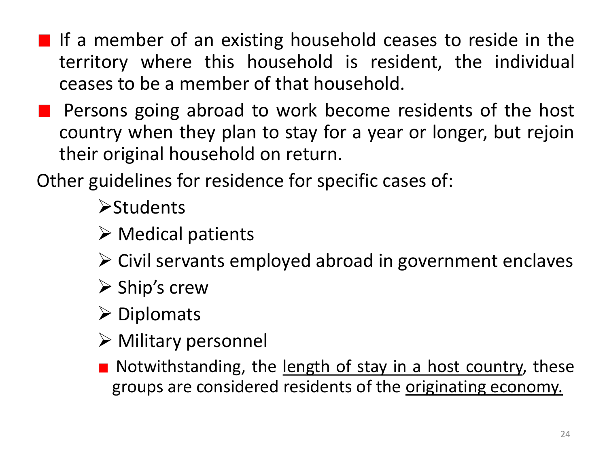- If a member of an existing household ceases to reside in the territory where this household is resident, the individual ceases to be a member of that household.
- Persons going abroad to work become residents of the host country when they plan to stay for a year or longer, but rejoin their original household on return.

Other guidelines for residence for specific cases of:

**Students** 

- $\triangleright$  Medical patients
- $\triangleright$  Civil servants employed abroad in government enclaves
- $\triangleright$  Ship's crew
- $\triangleright$  Diplomats
- $\triangleright$  Military personnel
- Notwithstanding, the length of stay in a host country, these groups are considered residents of the originating economy.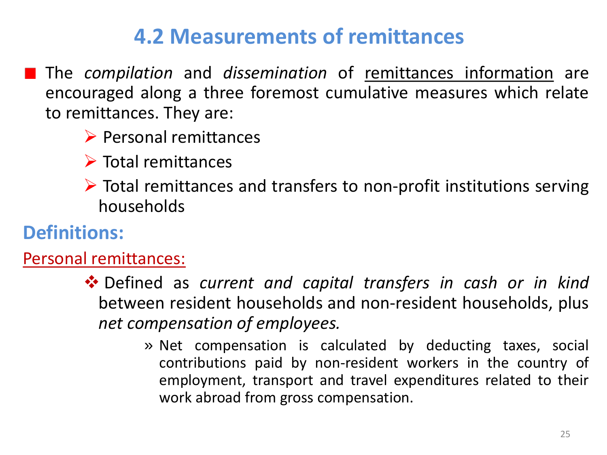## **4.2 Measurements of remittances**

- The *compilation* and *dissemination* of remittances information are encouraged along a three foremost cumulative measures which relate to remittances. They are:
	- $\triangleright$  Personal remittances
	- $\triangleright$  Total remittances
	- $\triangleright$  Total remittances and transfers to non-profit institutions serving households

#### **Definitions:**

Personal remittances:

- Defined as *current and capital transfers in cash or in kind* between resident households and non-resident households, plus *net compensation of employees.*
	- » Net compensation is calculated by deducting taxes, social contributions paid by non-resident workers in the country of employment, transport and travel expenditures related to their work abroad from gross compensation.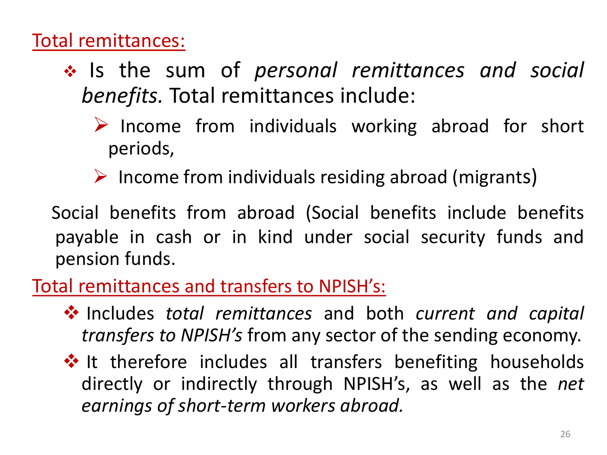#### Total remittances:

- Is the sum of *personal remittances and social benefits.* Total remittances include:
	- $\triangleright$  Income from individuals working abroad for short periods,
	- $\triangleright$  Income from individuals residing abroad (migrants)

 Social benefits from abroad (Social benefits include benefits payable in cash or in kind under social security funds and pension funds.

#### Total remittances and transfers to NPISH's:

- Includes *total remittances* and both *current and capital transfers to NPISH's* from any sector of the sending economy.
- $\dots$  It therefore includes all transfers benefiting households directly or indirectly through NPISH's, as well as the *net earnings of short-term workers abroad.*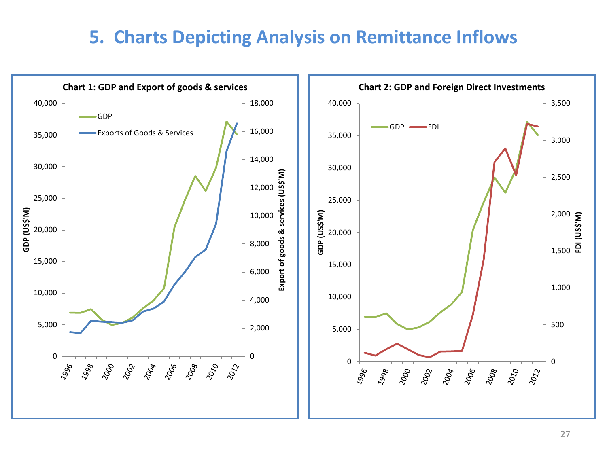#### **5. Charts Depicting Analysis on Remittance Inflows**

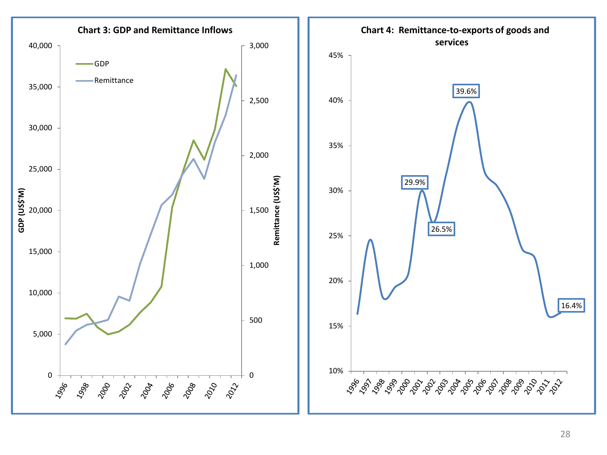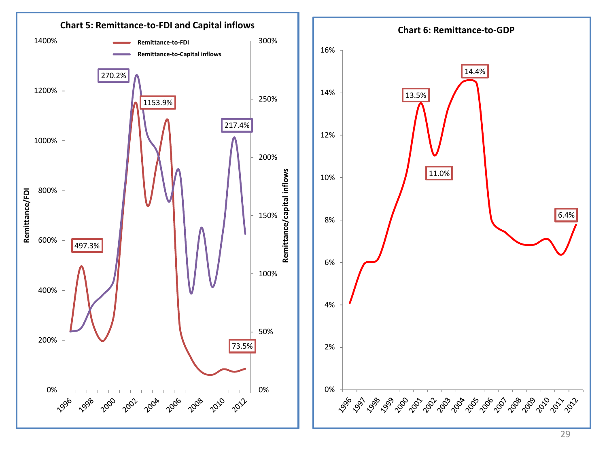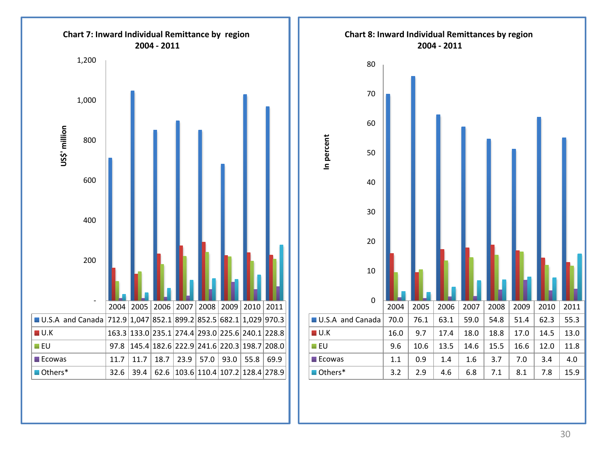

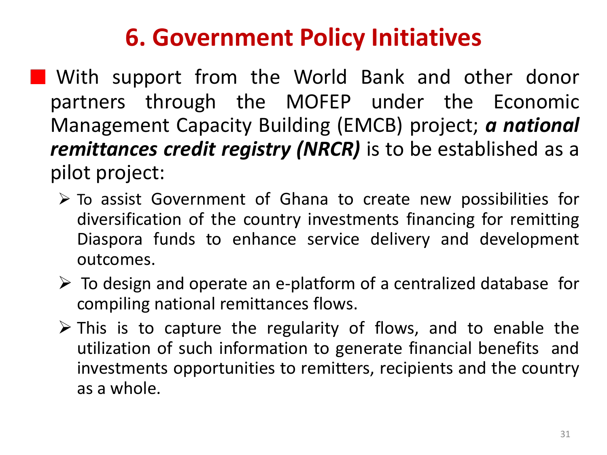# **6. Government Policy Initiatives**

**Nota With support from the World Bank and other donor** partners through the MOFEP under the Economic Management Capacity Building (EMCB) project; *a national remittances credit registry (NRCR)* is to be established as a pilot project:

- $\triangleright$  To assist Government of Ghana to create new possibilities for diversification of the country investments financing for remitting Diaspora funds to enhance service delivery and development outcomes.
- $\triangleright$  To design and operate an e-platform of a centralized database for compiling national remittances flows.
- $\triangleright$  This is to capture the regularity of flows, and to enable the utilization of such information to generate financial benefits and investments opportunities to remitters, recipients and the country as a whole.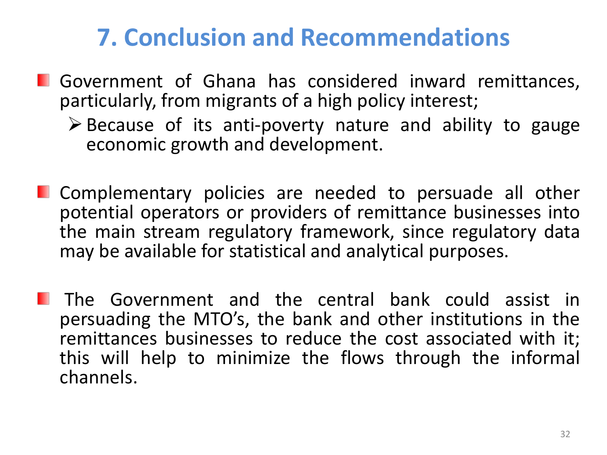## **7. Conclusion and Recommendations**

- **I** Government of Ghana has considered inward remittances, particularly, from migrants of a high policy interest;
	- $\triangleright$  Because of its anti-poverty nature and ability to gauge economic growth and development.
- **E.** Complementary policies are needed to persuade all other potential operators or providers of remittance businesses into the main stream regulatory framework, since regulatory data may be available for statistical and analytical purposes.
- **The Government and the central bank could assist in** persuading the MTO's, the bank and other institutions in the remittances businesses to reduce the cost associated with it; this will help to minimize the flows through the informal channels.